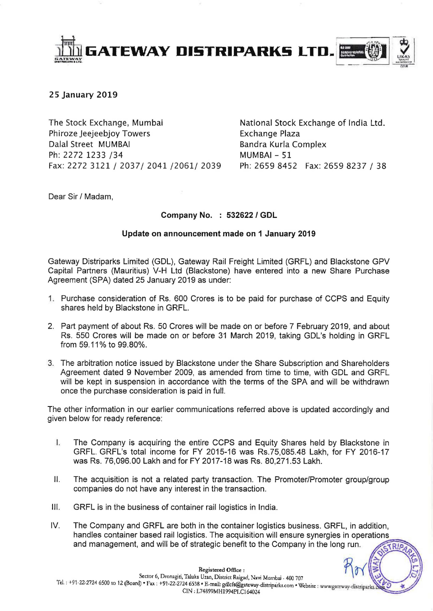

## **25 January 2019**

The Stock Exchange, Mumbai Phiroze Jeejeebjoy Towers Dalal Street MUMBAI Ph: 2272 1233 /34 Fax: 2272 3121 / 2037/ 2041 /2061/ 2039 Ph: 2659 8452 Fax: 2659 8237 / 38

National Stock Exchange of India Ltd. Exchange Plaza Bandra Kurla Complex MUMBAI - 51

 $\frac{1}{2}$  r;

Dear Sir / Madam,

## **Company** No. : **532622 I GDL**

## **Update on announcement made on 1 January 2019**

Gateway Distriparks Limited (GDL), Gateway Rail Freight Limited (GRFL) and Blackstone GPV Capital Partners (Mauritius) V-H Ltd (Blackstone) have entered into a new Share Purchase Agreement (SPA) dated 25 January 2019 as under:

- 1. Purchase consideration of Rs. 600 Crores is to be paid for purchase of CCPS and Equity shares held by Blackstone in GRFL.
- 2. Part payment of about Rs. 50 Crores will be made on or before 7 February 2019, and about Rs. 550 Crores will be made on or before 31 March 2019, taking GDL's holding in GRFL from 59.11 % to 99.80%.
- 3. The arbitration notice issued by Blackstone under the Share Subscription and Shareholders Agreement dated 9 November 2009, as amended from time to time, with GDL and GRFL will be kept in suspension in accordance with the terms of the SPA and will be withdrawn once the purchase consideration is paid in full.

The other information in our earlier communications referred above is updated accordingly and given below for ready reference:

- I. The Company is acquiring the entire CCPS and Equity Shares held by Blackstone in GRFL. GRFL's total income for FY 2015-16 was Rs.75,085.48 Lakh, for FY 2016-17 was Rs. 76,096.00 Lakh and for FY 2017-18 was Rs. 80,271 .53 Lakh.
- II. The acquisition is not a related party transaction. The Promoter/Promoter group/group companies do not have any interest in the transaction.
- III. GRFL is in the business of container rail logistics in India.
- IV. The Company and GRFL are both in the container logistics business. GRFL, in addition, handles container based rail logistics. The acquisition will ensure synergies in operations and management, and will be of strategic benefit to the Company in the long run.